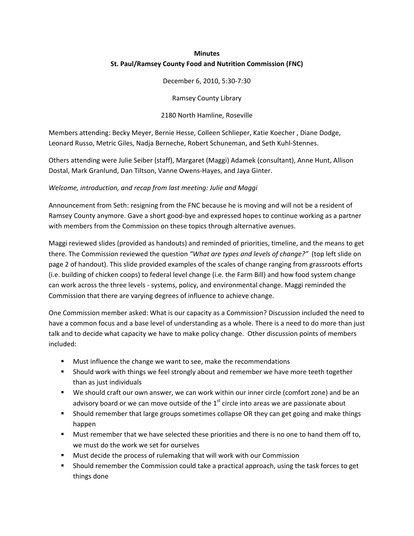# **Minutes St. Paul/Ramsey County Food and Nutrition Commission (FNC)**

December 6, 2010, 5:30‐7:30

Ramsey County Library

2180 North Hamline, Roseville

Members attending: Becky Meyer, Bernie Hesse, Colleen Schlieper, Katie Koecher , Diane Dodge, Leonard Russo, Metric Giles, Nadja Berneche, Robert Schuneman, and Seth Kuhl‐Stennes.

Others attending were Julie Seiber (staff), Margaret (Maggi) Adamek (consultant), Anne Hunt, Allison Dostal, Mark Granlund, Dan Tiltson, Vanne Owens‐Hayes, and Jaya Ginter.

#### *Welcome, introduction, and recap from last meeting: Julie and Maggi*

Announcement from Seth: resigning from the FNC because he is moving and will not be a resident of Ramsey County anymore. Gave a short good‐bye and expressed hopes to continue working as a partner with members from the Commission on these topics through alternative avenues.

Maggi reviewed slides (provided as handouts) and reminded of priorities, timeline, and the means to get there. The Commission reviewed the question *"What are types and levels of change?"* (top left slide on page 2 of handout). This slide provided examples of the scales of change ranging from grassroots efforts (i.e. building of chicken coops) to federal level change (i.e. the Farm Bill) and how food system change can work across the three levels ‐ systems, policy, and environmental change. Maggi reminded the Commission that there are varying degrees of influence to achieve change.

One Commission member asked: What is our capacity as a Commission? Discussion included the need to have a common focus and a base level of understanding as a whole. There is a need to do more than just talk and to decide what capacity we have to make policy change. Other discussion points of members included:

- **Must influence the change we want to see, make the recommendations**
- **Should work with things we feel strongly about and remember we have more teeth together** than as just individuals
- We should craft our own answer, we can work within our inner circle (comfort zone) and be an advisory board or we can move outside of the  $1<sup>st</sup>$  circle into areas we are passionate about
- Should remember that large groups sometimes collapse OR they can get going and make things happen
- **Must remember that we have selected these priorities and there is no one to hand them off to,** we must do the work we set for ourselves
- **Must decide the process of rulemaking that will work with our Commission**
- Should remember the Commission could take a practical approach, using the task forces to get things done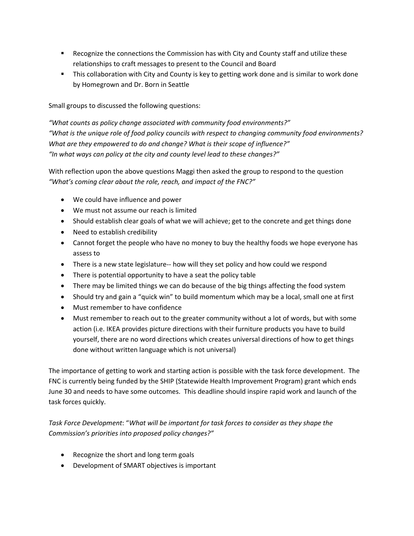- **EXECO 2** Recognize the connections the Commission has with City and County staff and utilize these relationships to craft messages to present to the Council and Board
- **This collaboration with City and County is key to getting work done and is similar to work done** by Homegrown and Dr. Born in Seattle

Small groups to discussed the following questions:

*"What counts as policy change associated with community food environments?" "What is the unique role of food policy councils with respect to changing community food environments? What are they empowered to do and change? What is their scope of influence?" "In what ways can policy at the city and county level lead to these changes?"* 

With reflection upon the above questions Maggi then asked the group to respond to the question *"What's coming clear about the role, reach, and impact of the FNC?"*

- We could have influence and power
- We must not assume our reach is limited
- Should establish clear goals of what we will achieve; get to the concrete and get things done
- Need to establish credibility
- Cannot forget the people who have no money to buy the healthy foods we hope everyone has assess to
- There is a new state legislature-- how will they set policy and how could we respond
- There is potential opportunity to have a seat the policy table
- There may be limited things we can do because of the big things affecting the food system
- Should try and gain a "quick win" to build momentum which may be a local, small one at first
- Must remember to have confidence
- Must remember to reach out to the greater community without a lot of words, but with some action (i.e. IKEA provides picture directions with their furniture products you have to build yourself, there are no word directions which creates universal directions of how to get things done without written language which is not universal)

The importance of getting to work and starting action is possible with the task force development. The FNC is currently being funded by the SHIP (Statewide Health Improvement Program) grant which ends June 30 and needs to have some outcomes. This deadline should inspire rapid work and launch of the task forces quickly.

*Task Force Development*: "*What will be important for task forces to consider as they shape the Commission's priorities into proposed policy changes?"* 

- Recognize the short and long term goals
- Development of SMART objectives is important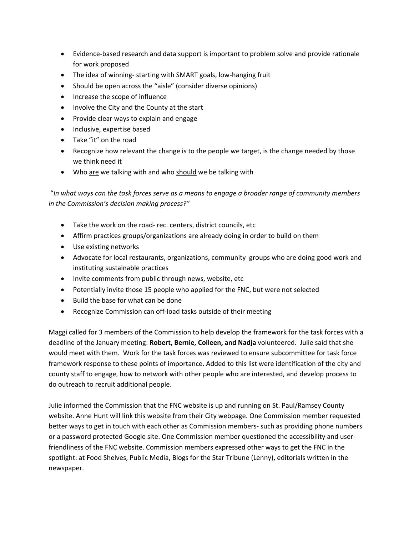- Evidence-based research and data support is important to problem solve and provide rationale for work proposed
- The idea of winning‐ starting with SMART goals, low‐hanging fruit
- Should be open across the "aisle" (consider diverse opinions)
- Increase the scope of influence
- Involve the City and the County at the start
- Provide clear ways to explain and engage
- Inclusive, expertise based
- Take "it" on the road
- Recognize how relevant the change is to the people we target, is the change needed by those we think need it
- Who are we talking with and who should we be talking with

"In what ways can the task forces serve as a means to engage a broader range of community members *in the Commission's decision making process?"*

- Take the work on the road- rec. centers, district councils, etc
- Affirm practices groups/organizations are already doing in order to build on them
- Use existing networks
- Advocate for local restaurants, organizations, community groups who are doing good work and instituting sustainable practices
- Invite comments from public through news, website, etc
- Potentially invite those 15 people who applied for the FNC, but were not selected
- Build the base for what can be done
- Recognize Commission can off-load tasks outside of their meeting

Maggi called for 3 members of the Commission to help develop the framework for the task forces with a deadline of the January meeting: **Robert, Bernie, Colleen, and Nadja** volunteered. Julie said that she would meet with them. Work for the task forces was reviewed to ensure subcommittee for task force framework response to these points of importance. Added to this list were identification of the city and county staff to engage, how to network with other people who are interested, and develop process to do outreach to recruit additional people.

Julie informed the Commission that the FNC website is up and running on St. Paul/Ramsey County website. Anne Hunt will link this website from their City webpage. One Commission member requested better ways to get in touch with each other as Commission members‐ such as providing phone numbers or a password protected Google site. One Commission member questioned the accessibility and user‐ friendliness of the FNC website. Commission members expressed other ways to get the FNC in the spotlight: at Food Shelves, Public Media, Blogs for the Star Tribune (Lenny), editorials written in the newspaper.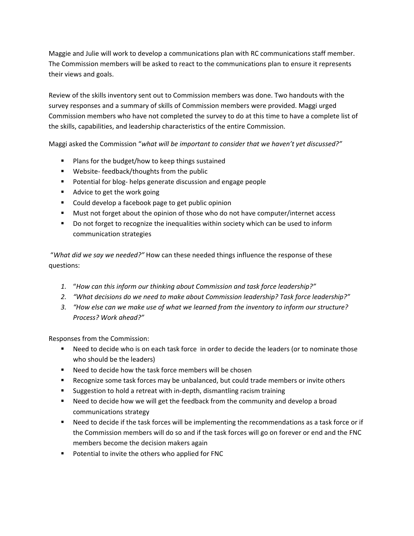Maggie and Julie will work to develop a communications plan with RC communications staff member. The Commission members will be asked to react to the communications plan to ensure it represents their views and goals.

Review of the skills inventory sent out to Commission members was done. Two handouts with the survey responses and a summary of skills of Commission members were provided. Maggi urged Commission members who have not completed the survey to do at this time to have a complete list of the skills, capabilities, and leadership characteristics of the entire Commission.

Maggi asked the Commission "*what will be important to consider that we haven't yet discussed?"*

- **Plans for the budget/how to keep things sustained**
- Website-feedback/thoughts from the public
- Potential for blog- helps generate discussion and engage people
- Advice to get the work going
- **Could develop a facebook page to get public opinion**
- **Must not forget about the opinion of those who do not have computer/internet access**
- **Do not forget to recognize the inequalities within society which can be used to inform** communication strategies

"*What did we say we needed?"* How can these needed things influence the response of these questions:

- *1.* "*How can this inform our thinking about Commission and task force leadership?"*
- *2. "What decisions do we need to make about Commission leadership? Task force leadership?"*
- *3. "How else can we make use of what we learned from the inventory to inform our structure? Process? Work ahead?"*

Responses from the Commission:

- **•** Need to decide who is on each task force in order to decide the leaders (or to nominate those who should be the leaders)
- Need to decide how the task force members will be chosen
- Recognize some task forces may be unbalanced, but could trade members or invite others
- Suggestion to hold a retreat with in-depth, dismantling racism training
- Need to decide how we will get the feedback from the community and develop a broad communications strategy
- **Need to decide if the task forces will be implementing the recommendations as a task force or if** the Commission members will do so and if the task forces will go on forever or end and the FNC members become the decision makers again
- **Potential to invite the others who applied for FNC**